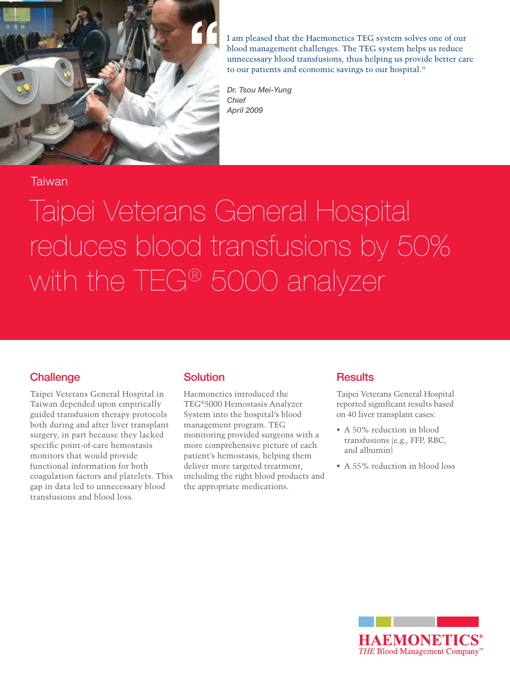

I am pleased that the Haemonetics TEG system solves one of our blood management challenges. The TEG system helps us reduce unnecessary blood transfusions, thus helping us provide better care to our patients and economic savings to our hospital."

*Dr. Tsou Mei-Yung Chief April 2009*

### Taiwan

# Taipei Veterans General Hospital reduces blood transfusions by 50% with the TEG® 5000 analyzer

#### **Challenge**

Taipei Veterans General Hospital in Taiwan depended upon empirically guided transfusion therapy protocols both during and after liver transplant surgery, in part because they lacked specific point-of-care hemostasis monitors that would provide functional information for both coagulation factors and platelets. This gap in data led to unnecessary blood transfusions and blood loss.

## **Solution**

Haemonetics introduced the TEG®5000 Hemostasis Analyzer System into the hospital's blood management program. TEG monitoring provided surgeons with a more comprehensive picture of each patient's hemostasis, helping them deliver more targeted treatment, including the right blood products and the appropriate medications.

## **Results**

Taipei Veterans General Hospital reported significant results based on 40 liver transplant cases:

- A 50% reduction in blood transfusions (e.g., FFP, RBC, and albumin)
- A 55% reduction in blood loss